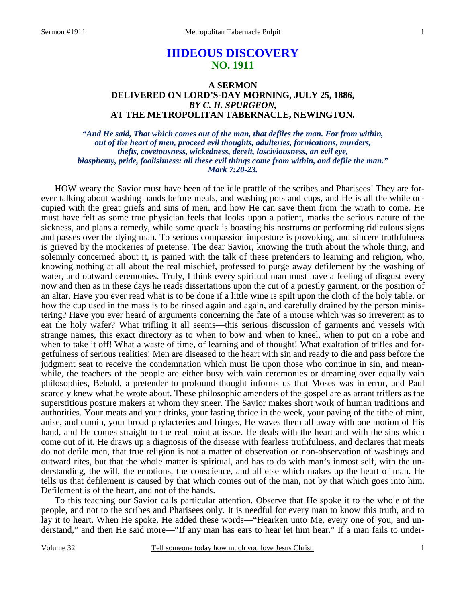# **HIDEOUS DISCOVERY NO. 1911**

### **A SERMON DELIVERED ON LORD'S-DAY MORNING, JULY 25, 1886,**  *BY C. H. SPURGEON,*  **AT THE METROPOLITAN TABERNACLE, NEWINGTON.**

*"And He said, That which comes out of the man, that defiles the man. For from within, out of the heart of men, proceed evil thoughts, adulteries, fornications, murders, thefts, covetousness, wickedness, deceit, lasciviousness, an evil eye, blasphemy, pride, foolishness: all these evil things come from within, and defile the man." Mark 7:20-23.* 

HOW weary the Savior must have been of the idle prattle of the scribes and Pharisees! They are forever talking about washing hands before meals, and washing pots and cups, and He is all the while occupied with the great griefs and sins of men, and how He can save them from the wrath to come. He must have felt as some true physician feels that looks upon a patient, marks the serious nature of the sickness, and plans a remedy, while some quack is boasting his nostrums or performing ridiculous signs and passes over the dying man. To serious compassion imposture is provoking, and sincere truthfulness is grieved by the mockeries of pretense. The dear Savior, knowing the truth about the whole thing, and solemnly concerned about it, is pained with the talk of these pretenders to learning and religion, who, knowing nothing at all about the real mischief, professed to purge away defilement by the washing of water, and outward ceremonies. Truly, I think every spiritual man must have a feeling of disgust every now and then as in these days he reads dissertations upon the cut of a priestly garment, or the position of an altar. Have you ever read what is to be done if a little wine is spilt upon the cloth of the holy table, or how the cup used in the mass is to be rinsed again and again, and carefully drained by the person ministering? Have you ever heard of arguments concerning the fate of a mouse which was so irreverent as to eat the holy wafer? What trifling it all seems—this serious discussion of garments and vessels with strange names, this exact directory as to when to bow and when to kneel, when to put on a robe and when to take it off! What a waste of time, of learning and of thought! What exaltation of trifles and forgetfulness of serious realities! Men are diseased to the heart with sin and ready to die and pass before the judgment seat to receive the condemnation which must lie upon those who continue in sin, and meanwhile, the teachers of the people are either busy with vain ceremonies or dreaming over equally vain philosophies, Behold, a pretender to profound thought informs us that Moses was in error, and Paul scarcely knew what he wrote about. These philosophic amenders of the gospel are as arrant triflers as the superstitious posture makers at whom they sneer. The Savior makes short work of human traditions and authorities. Your meats and your drinks, your fasting thrice in the week, your paying of the tithe of mint, anise, and cumin, your broad phylacteries and fringes, He waves them all away with one motion of His hand, and He comes straight to the real point at issue. He deals with the heart and with the sins which come out of it. He draws up a diagnosis of the disease with fearless truthfulness, and declares that meats do not defile men, that true religion is not a matter of observation or non-observation of washings and outward rites, but that the whole matter is spiritual, and has to do with man's inmost self, with the understanding, the will, the emotions, the conscience, and all else which makes up the heart of man. He tells us that defilement is caused by that which comes out of the man, not by that which goes into him. Defilement is of the heart, and not of the hands.

 To this teaching our Savior calls particular attention. Observe that He spoke it to the whole of the people, and not to the scribes and Pharisees only. It is needful for every man to know this truth, and to lay it to heart. When He spoke, He added these words—"Hearken unto Me, every one of you, and understand," and then He said more—"If any man has ears to hear let him hear." If a man fails to under-

Volume 32 Tell someone today how much you love Jesus Christ.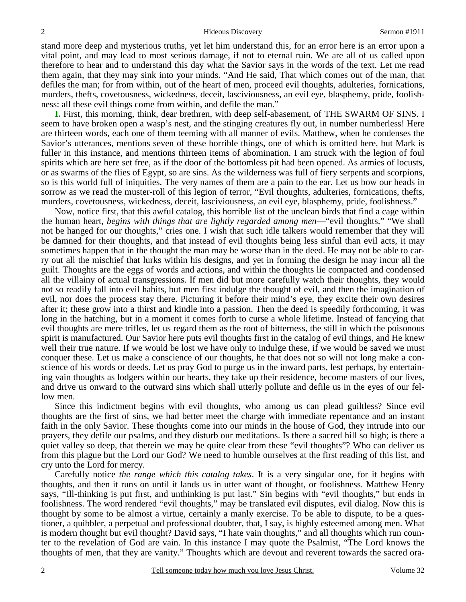stand more deep and mysterious truths, yet let him understand this, for an error here is an error upon a vital point, and may lead to most serious damage, if not to eternal ruin. We are all of us called upon therefore to hear and to understand this day what the Savior says in the words of the text. Let me read them again, that they may sink into your minds. "And He said, That which comes out of the man, that defiles the man; for from within, out of the heart of men, proceed evil thoughts, adulteries, fornications, murders, thefts, covetousness, wickedness, deceit, lasciviousness, an evil eye, blasphemy, pride, foolishness: all these evil things come from within, and defile the man."

**I.** First, this morning, think, dear brethren, with deep self-abasement, of THE SWARM OF SINS. I seem to have broken open a wasp's nest, and the stinging creatures fly out, in number numberless! Here are thirteen words, each one of them teeming with all manner of evils. Matthew, when he condenses the Savior's utterances, mentions seven of these horrible things, one of which is omitted here, but Mark is fuller in this instance, and mentions thirteen items of abomination. I am struck with the legion of foul spirits which are here set free, as if the door of the bottomless pit had been opened. As armies of locusts, or as swarms of the flies of Egypt, so are sins. As the wilderness was full of fiery serpents and scorpions, so is this world full of iniquities. The very names of them are a pain to the ear. Let us bow our heads in sorrow as we read the muster-roll of this legion of terror, "Evil thoughts, adulteries, fornications, thefts, murders, covetousness, wickedness, deceit, lasciviousness, an evil eye, blasphemy, pride, foolishness."

 Now, notice first, that this awful catalog, this horrible list of the unclean birds that find a cage within the human heart, *begins with things that are lightly regarded among men*—"evil thoughts." "We shall not be hanged for our thoughts," cries one. I wish that such idle talkers would remember that they will be damned for their thoughts, and that instead of evil thoughts being less sinful than evil acts, it may sometimes happen that in the thought the man may be worse than in the deed. He may not be able to carry out all the mischief that lurks within his designs, and yet in forming the design he may incur all the guilt. Thoughts are the eggs of words and actions, and within the thoughts lie compacted and condensed all the villainy of actual transgressions. If men did but more carefully watch their thoughts, they would not so readily fall into evil habits, but men first indulge the thought of evil, and then the imagination of evil, nor does the process stay there. Picturing it before their mind's eye, they excite their own desires after it; these grow into a thirst and kindle into a passion. Then the deed is speedily forthcoming, it was long in the hatching, but in a moment it comes forth to curse a whole lifetime. Instead of fancying that evil thoughts are mere trifles, let us regard them as the root of bitterness, the still in which the poisonous spirit is manufactured. Our Savior here puts evil thoughts first in the catalog of evil things, and He knew well their true nature. If we would be lost we have only to indulge these, if we would be saved we must conquer these. Let us make a conscience of our thoughts, he that does not so will not long make a conscience of his words or deeds. Let us pray God to purge us in the inward parts, lest perhaps, by entertaining vain thoughts as lodgers within our hearts, they take up their residence, become masters of our lives, and drive us onward to the outward sins which shall utterly pollute and defile us in the eyes of our fellow men.

 Since this indictment begins with evil thoughts, who among us can plead guiltless? Since evil thoughts are the first of sins, we had better meet the charge with immediate repentance and an instant faith in the only Savior. These thoughts come into our minds in the house of God, they intrude into our prayers, they defile our psalms, and they disturb our meditations. Is there a sacred hill so high; is there a quiet valley so deep, that therein we may be quite clear from these "evil thoughts"? Who can deliver us from this plague but the Lord our God? We need to humble ourselves at the first reading of this list, and cry unto the Lord for mercy.

 Carefully notice *the range which this catalog takes*. It is a very singular one, for it begins with thoughts, and then it runs on until it lands us in utter want of thought, or foolishness. Matthew Henry says, "Ill-thinking is put first, and unthinking is put last." Sin begins with "evil thoughts," but ends in foolishness. The word rendered "evil thoughts," may be translated evil disputes, evil dialog. Now this is thought by some to be almost a virtue, certainly a manly exercise. To be able to dispute, to be a questioner, a quibbler, a perpetual and professional doubter, that, I say, is highly esteemed among men. What is modern thought but evil thought? David says, "I hate vain thoughts," and all thoughts which run counter to the revelation of God are vain. In this instance I may quote the Psalmist, "The Lord knows the thoughts of men, that they are vanity." Thoughts which are devout and reverent towards the sacred ora-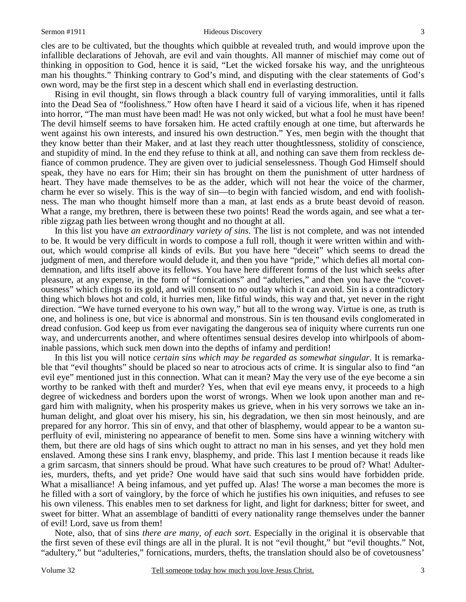#### Sermon #1911 **Hideous Discovery** 3

cles are to be cultivated, but the thoughts which quibble at revealed truth, and would improve upon the infallible declarations of Jehovah, are evil and vain thoughts. All manner of mischief may come out of thinking in opposition to God, hence it is said, "Let the wicked forsake his way, and the unrighteous man his thoughts." Thinking contrary to God's mind, and disputing with the clear statements of God's own word, may be the first step in a descent which shall end in everlasting destruction.

 Rising in evil thought, sin flows through a black country full of varying immoralities, until it falls into the Dead Sea of "foolishness." How often have I heard it said of a vicious life, when it has ripened into horror, "The man must have been mad! He was not only wicked, but what a fool he must have been! The devil himself seems to have forsaken him. He acted craftily enough at one time, but afterwards he went against his own interests, and insured his own destruction." Yes, men begin with the thought that they know better than their Maker, and at last they reach utter thoughtlessness, stolidity of conscience, and stupidity of mind. In the end they refuse to think at all, and nothing can save them from reckless defiance of common prudence. They are given over to judicial senselessness. Though God Himself should speak, they have no ears for Him; their sin has brought on them the punishment of utter hardness of heart. They have made themselves to be as the adder, which will not hear the voice of the charmer, charm he ever so wisely. This is the way of sin—to begin with fancied wisdom, and end with foolishness. The man who thought himself more than a man, at last ends as a brute beast devoid of reason. What a range, my brethren, there is between these two points! Read the words again, and see what a terrible zigzag path lies between wrong thought and no thought at all.

 In this list you have *an extraordinary variety of sins*. The list is not complete, and was not intended to be. It would be very difficult in words to compose a full roll, though it were written within and without, which would comprise all kinds of evils. But you have here "deceit" which seems to dread the judgment of men, and therefore would delude it, and then you have "pride," which defies all mortal condemnation, and lifts itself above its fellows. You have here different forms of the lust which seeks after pleasure, at any expense, in the form of "fornications" and "adulteries," and then you have the "covetousness" which clings to its gold, and will consent to no outlay which it can avoid. Sin is a contradictory thing which blows hot and cold, it hurries men, like fitful winds, this way and that, yet never in the right direction. "We have turned everyone to his own way," but all to the wrong way. Virtue is one, as truth is one, and holiness is one, but vice is abnormal and monstrous. Sin is ten thousand evils conglomerated in dread confusion. God keep us from ever navigating the dangerous sea of iniquity where currents run one way, and undercurrents another, and where oftentimes sensual desires develop into whirlpools of abominable passions, which suck men down into the depths of infamy and perdition!

 In this list you will notice *certain sins which may be regarded as somewhat singular*. It is remarkable that "evil thoughts" should be placed so near to atrocious acts of crime. It is singular also to find "an evil eye" mentioned just in this connection. What can it mean? May the very use of the eye become a sin worthy to be ranked with theft and murder? Yes, when that evil eye means envy, it proceeds to a high degree of wickedness and borders upon the worst of wrongs. When we look upon another man and regard him with malignity, when his prosperity makes us grieve, when in his very sorrows we take an inhuman delight, and gloat over his misery, his sin, his degradation, we then sin most heinously, and are prepared for any horror. This sin of envy, and that other of blasphemy, would appear to be a wanton superfluity of evil, ministering no appearance of benefit to men. Some sins have a winning witchery with them, but there are old hags of sins which ought to attract no man in his senses, and yet they hold men enslaved. Among these sins I rank envy, blasphemy, and pride. This last I mention because it reads like a grim sarcasm, that sinners should be proud. What have such creatures to be proud of? What! Adulteries, murders, thefts, and yet pride? One would have said that such sins would have forbidden pride. What a misalliance! A being infamous, and yet puffed up. Alas! The worse a man becomes the more is he filled with a sort of vainglory, by the force of which he justifies his own iniquities, and refuses to see his own vileness. This enables men to set darkness for light, and light for darkness; bitter for sweet, and sweet for bitter. What an assemblage of banditti of every nationality range themselves under the banner of evil! Lord, save us from them!

 Note, also, that of sins *there are many, of each sort*. Especially in the original it is observable that the first seven of these evil things are all in the plural. It is not "evil thought," but "evil thoughts." Not, "adultery," but "adulteries," fornications, murders, thefts, the translation should also be of covetousness'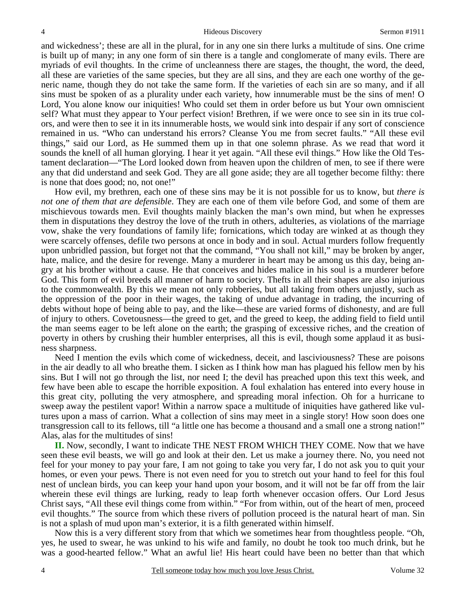and wickedness'; these are all in the plural, for in any one sin there lurks a multitude of sins. One crime is built up of many; in any one form of sin there is a tangle and conglomerate of many evils. There are myriads of evil thoughts. In the crime of uncleanness there are stages, the thought, the word, the deed, all these are varieties of the same species, but they are all sins, and they are each one worthy of the generic name, though they do not take the same form. If the varieties of each sin are so many, and if all sins must be spoken of as a plurality under each variety, how innumerable must be the sins of men! O Lord, You alone know our iniquities! Who could set them in order before us but Your own omniscient self? What must they appear to Your perfect vision! Brethren, if we were once to see sin in its true colors, and were then to see it in its innumerable hosts, we would sink into despair if any sort of conscience remained in us. "Who can understand his errors? Cleanse You me from secret faults." "All these evil things," said our Lord, as He summed them up in that one solemn phrase. As we read that word it sounds the knell of all human glorying. I hear it yet again. "All these evil things." How like the Old Testament declaration—"The Lord looked down from heaven upon the children of men, to see if there were any that did understand and seek God. They are all gone aside; they are all together become filthy: there is none that does good; no, not one!"

 How evil, my brethren, each one of these sins may be it is not possible for us to know, but *there is not one of them that are defensible*. They are each one of them vile before God, and some of them are mischievous towards men. Evil thoughts mainly blacken the man's own mind, but when he expresses them in disputations they destroy the love of the truth in others, adulteries, as violations of the marriage vow, shake the very foundations of family life; fornications, which today are winked at as though they were scarcely offenses, defile two persons at once in body and in soul. Actual murders follow frequently upon unbridled passion, but forget not that the command, "You shall not kill," may be broken by anger, hate, malice, and the desire for revenge. Many a murderer in heart may be among us this day, being angry at his brother without a cause. He that conceives and hides malice in his soul is a murderer before God. This form of evil breeds all manner of harm to society. Thefts in all their shapes are also injurious to the commonwealth. By this we mean not only robberies, but all taking from others unjustly, such as the oppression of the poor in their wages, the taking of undue advantage in trading, the incurring of debts without hope of being able to pay, and the like—these are varied forms of dishonesty, and are full of injury to others. Covetousness—the greed to get, and the greed to keep, the adding field to field until the man seems eager to be left alone on the earth; the grasping of excessive riches, and the creation of poverty in others by crushing their humbler enterprises, all this is evil, though some applaud it as business sharpness.

 Need I mention the evils which come of wickedness, deceit, and lasciviousness? These are poisons in the air deadly to all who breathe them. I sicken as I think how man has plagued his fellow men by his sins. But I will not go through the list, nor need I; the devil has preached upon this text this week, and few have been able to escape the horrible exposition. A foul exhalation has entered into every house in this great city, polluting the very atmosphere, and spreading moral infection. Oh for a hurricane to sweep away the pestilent vapor! Within a narrow space a multitude of iniquities have gathered like vultures upon a mass of carrion. What a collection of sins may meet in a single story! How soon does one transgression call to its fellows, till "a little one has become a thousand and a small one a strong nation!" Alas, alas for the multitudes of sins!

**II.** Now, secondly, I want to indicate THE NEST FROM WHICH THEY COME. Now that we have seen these evil beasts, we will go and look at their den. Let us make a journey there. No, you need not feel for your money to pay your fare, I am not going to take you very far, I do not ask you to quit your homes, or even your pews. There is not even need for you to stretch out your hand to feel for this foul nest of unclean birds, you can keep your hand upon your bosom, and it will not be far off from the lair wherein these evil things are lurking, ready to leap forth whenever occasion offers. Our Lord Jesus Christ says, "All these evil things come from within." "For from within, out of the heart of men, proceed evil thoughts." The source from which these rivers of pollution proceed is the natural heart of man. Sin is not a splash of mud upon man's exterior, it is a filth generated within himself.

 Now this is a very different story from that which we sometimes hear from thoughtless people. "Oh, yes, he used to swear, he was unkind to his wife and family, no doubt he took too much drink, but he was a good-hearted fellow." What an awful lie! His heart could have been no better than that which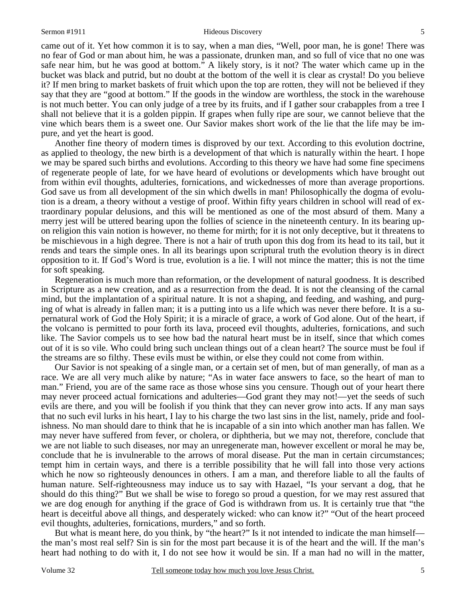#### Sermon #1911 **Hideous Discovery** 5

came out of it. Yet how common it is to say, when a man dies, "Well, poor man, he is gone! There was no fear of God or man about him, he was a passionate, drunken man, and so full of vice that no one was safe near him, but he was good at bottom." A likely story, is it not? The water which came up in the bucket was black and putrid, but no doubt at the bottom of the well it is clear as crystal! Do you believe it? If men bring to market baskets of fruit which upon the top are rotten, they will not be believed if they say that they are "good at bottom." If the goods in the window are worthless, the stock in the warehouse is not much better. You can only judge of a tree by its fruits, and if I gather sour crabapples from a tree I shall not believe that it is a golden pippin. If grapes when fully ripe are sour, we cannot believe that the vine which bears them is a sweet one. Our Savior makes short work of the lie that the life may be impure, and yet the heart is good.

 Another fine theory of modern times is disproved by our text. According to this evolution doctrine, as applied to theology, the new birth is a development of that which is naturally within the heart. I hope we may be spared such births and evolutions. According to this theory we have had some fine specimens of regenerate people of late, for we have heard of evolutions or developments which have brought out from within evil thoughts, adulteries, fornications, and wickednesses of more than average proportions. God save us from all development of the sin which dwells in man! Philosophically the dogma of evolution is a dream, a theory without a vestige of proof. Within fifty years children in school will read of extraordinary popular delusions, and this will be mentioned as one of the most absurd of them. Many a merry jest will be uttered bearing upon the follies of science in the nineteenth century. In its bearing upon religion this vain notion is however, no theme for mirth; for it is not only deceptive, but it threatens to be mischievous in a high degree. There is not a hair of truth upon this dog from its head to its tail, but it rends and tears the simple ones. In all its bearings upon scriptural truth the evolution theory is in direct opposition to it. If God's Word is true, evolution is a lie. I will not mince the matter; this is not the time for soft speaking.

 Regeneration is much more than reformation, or the development of natural goodness. It is described in Scripture as a new creation, and as a resurrection from the dead. It is not the cleansing of the carnal mind, but the implantation of a spiritual nature. It is not a shaping, and feeding, and washing, and purging of what is already in fallen man; it is a putting into us a life which was never there before. It is a supernatural work of God the Holy Spirit; it is a miracle of grace, a work of God alone. Out of the heart, if the volcano is permitted to pour forth its lava, proceed evil thoughts, adulteries, fornications, and such like. The Savior compels us to see how bad the natural heart must be in itself, since that which comes out of it is so vile. Who could bring such unclean things out of a clean heart? The source must be foul if the streams are so filthy. These evils must be within, or else they could not come from within.

 Our Savior is not speaking of a single man, or a certain set of men, but of man generally, of man as a race. We are all very much alike by nature; "As in water face answers to face, so the heart of man to man." Friend, you are of the same race as those whose sins you censure. Though out of your heart there may never proceed actual fornications and adulteries—God grant they may not!—yet the seeds of such evils are there, and you will be foolish if you think that they can never grow into acts. If any man says that no such evil lurks in his heart, I lay to his charge the two last sins in the list, namely, pride and foolishness. No man should dare to think that he is incapable of a sin into which another man has fallen. We may never have suffered from fever, or cholera, or diphtheria, but we may not, therefore, conclude that we are not liable to such diseases, nor may an unregenerate man, however excellent or moral he may be, conclude that he is invulnerable to the arrows of moral disease. Put the man in certain circumstances; tempt him in certain ways, and there is a terrible possibility that he will fall into those very actions which he now so righteously denounces in others. I am a man, and therefore liable to all the faults of human nature. Self-righteousness may induce us to say with Hazael, "Is your servant a dog, that he should do this thing?" But we shall be wise to forego so proud a question, for we may rest assured that we are dog enough for anything if the grace of God is withdrawn from us. It is certainly true that "the heart is deceitful above all things, and desperately wicked: who can know it?" "Out of the heart proceed evil thoughts, adulteries, fornications, murders," and so forth.

 But what is meant here, do you think, by "the heart?" Is it not intended to indicate the man himself the man's most real self? Sin is sin for the most part because it is of the heart and the will. If the man's heart had nothing to do with it, I do not see how it would be sin. If a man had no will in the matter,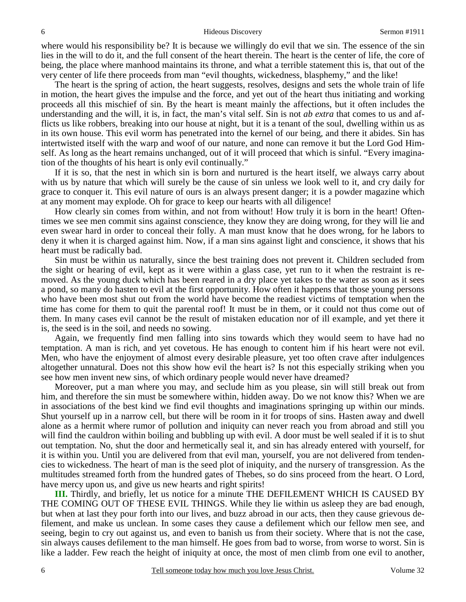where would his responsibility be? It is because we willingly do evil that we sin. The essence of the sin lies in the will to do it, and the full consent of the heart therein. The heart is the center of life, the core of being, the place where manhood maintains its throne, and what a terrible statement this is, that out of the very center of life there proceeds from man "evil thoughts, wickedness, blasphemy," and the like!

 The heart is the spring of action, the heart suggests, resolves, designs and sets the whole train of life in motion, the heart gives the impulse and the force, and yet out of the heart thus initiating and working proceeds all this mischief of sin. By the heart is meant mainly the affections, but it often includes the understanding and the will, it is, in fact, the man's vital self. Sin is not *ab extra* that comes to us and afflicts us like robbers, breaking into our house at night, but it is a tenant of the soul, dwelling within us as in its own house. This evil worm has penetrated into the kernel of our being, and there it abides. Sin has intertwisted itself with the warp and woof of our nature, and none can remove it but the Lord God Himself. As long as the heart remains unchanged, out of it will proceed that which is sinful. "Every imagination of the thoughts of his heart is only evil continually."

 If it is so, that the nest in which sin is born and nurtured is the heart itself, we always carry about with us by nature that which will surely be the cause of sin unless we look well to it, and cry daily for grace to conquer it. This evil nature of ours is an always present danger; it is a powder magazine which at any moment may explode. Oh for grace to keep our hearts with all diligence!

 How clearly sin comes from within, and not from without! How truly it is born in the heart! Oftentimes we see men commit sins against conscience, they know they are doing wrong, for they will lie and even swear hard in order to conceal their folly. A man must know that he does wrong, for he labors to deny it when it is charged against him. Now, if a man sins against light and conscience, it shows that his heart must be radically bad.

 Sin must be within us naturally, since the best training does not prevent it. Children secluded from the sight or hearing of evil, kept as it were within a glass case, yet run to it when the restraint is removed. As the young duck which has been reared in a dry place yet takes to the water as soon as it sees a pond, so many do hasten to evil at the first opportunity. How often it happens that those young persons who have been most shut out from the world have become the readiest victims of temptation when the time has come for them to quit the parental roof! It must be in them, or it could not thus come out of them. In many cases evil cannot be the result of mistaken education nor of ill example, and yet there it is, the seed is in the soil, and needs no sowing.

 Again, we frequently find men falling into sins towards which they would seem to have had no temptation. A man is rich, and yet covetous. He has enough to content him if his heart were not evil. Men, who have the enjoyment of almost every desirable pleasure, yet too often crave after indulgences altogether unnatural. Does not this show how evil the heart is? Is not this especially striking when you see how men invent new sins, of which ordinary people would never have dreamed?

 Moreover, put a man where you may, and seclude him as you please, sin will still break out from him, and therefore the sin must be somewhere within, hidden away. Do we not know this? When we are in associations of the best kind we find evil thoughts and imaginations springing up within our minds. Shut yourself up in a narrow cell, but there will be room in it for troops of sins. Hasten away and dwell alone as a hermit where rumor of pollution and iniquity can never reach you from abroad and still you will find the cauldron within boiling and bubbling up with evil. A door must be well sealed if it is to shut out temptation. No, shut the door and hermetically seal it, and sin has already entered with yourself, for it is within you. Until you are delivered from that evil man, yourself, you are not delivered from tendencies to wickedness. The heart of man is the seed plot of iniquity, and the nursery of transgression. As the multitudes streamed forth from the hundred gates of Thebes, so do sins proceed from the heart. O Lord, have mercy upon us, and give us new hearts and right spirits!

**III.** Thirdly, and briefly, let us notice for a minute THE DEFILEMENT WHICH IS CAUSED BY THE COMING OUT OF THESE EVIL THINGS. While they lie within us asleep they are bad enough, but when at last they pour forth into our lives, and buzz abroad in our acts, then they cause grievous defilement, and make us unclean. In some cases they cause a defilement which our fellow men see, and seeing, begin to cry out against us, and even to banish us from their society. Where that is not the case, sin always causes defilement to the man himself. He goes from bad to worse, from worse to worst. Sin is like a ladder. Few reach the height of iniquity at once, the most of men climb from one evil to another,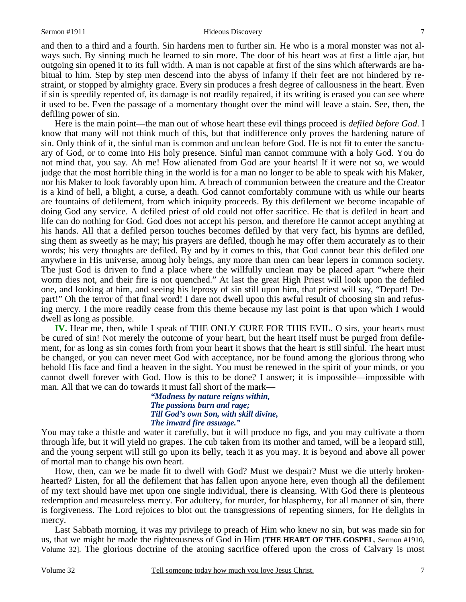### Sermon #1911 **Hideous Discovery** 7

and then to a third and a fourth. Sin hardens men to further sin. He who is a moral monster was not always such. By sinning much he learned to sin more. The door of his heart was at first a little ajar, but outgoing sin opened it to its full width. A man is not capable at first of the sins which afterwards are habitual to him. Step by step men descend into the abyss of infamy if their feet are not hindered by restraint, or stopped by almighty grace. Every sin produces a fresh degree of callousness in the heart. Even if sin is speedily repented of, its damage is not readily repaired, if its writing is erased you can see where it used to be. Even the passage of a momentary thought over the mind will leave a stain. See, then, the defiling power of sin.

 Here is the main point—the man out of whose heart these evil things proceed is *defiled before God*. I know that many will not think much of this, but that indifference only proves the hardening nature of sin. Only think of it, the sinful man is common and unclean before God. He is not fit to enter the sanctuary of God, or to come into His holy presence. Sinful man cannot commune with a holy God. You do not mind that, you say. Ah me! How alienated from God are your hearts! If it were not so, we would judge that the most horrible thing in the world is for a man no longer to be able to speak with his Maker, nor his Maker to look favorably upon him. A breach of communion between the creature and the Creator is a kind of hell, a blight, a curse, a death. God cannot comfortably commune with us while our hearts are fountains of defilement, from which iniquity proceeds. By this defilement we become incapable of doing God any service. A defiled priest of old could not offer sacrifice. He that is defiled in heart and life can do nothing for God. God does not accept his person, and therefore He cannot accept anything at his hands. All that a defiled person touches becomes defiled by that very fact, his hymns are defiled, sing them as sweetly as he may; his prayers are defiled, though he may offer them accurately as to their words; his very thoughts are defiled. By and by it comes to this, that God cannot bear this defiled one anywhere in His universe, among holy beings, any more than men can bear lepers in common society. The just God is driven to find a place where the willfully unclean may be placed apart "where their worm dies not, and their fire is not quenched." At last the great High Priest will look upon the defiled one, and looking at him, and seeing his leprosy of sin still upon him, that priest will say, "Depart! Depart!" Oh the terror of that final word! I dare not dwell upon this awful result of choosing sin and refusing mercy. I the more readily cease from this theme because my last point is that upon which I would dwell as long as possible.

**IV.** Hear me, then, while I speak of THE ONLY CURE FOR THIS EVIL. O sirs, your hearts must be cured of sin! Not merely the outcome of your heart, but the heart itself must be purged from defilement, for as long as sin comes forth from your heart it shows that the heart is still sinful. The heart must be changed, or you can never meet God with acceptance, nor be found among the glorious throng who behold His face and find a heaven in the sight. You must be renewed in the spirit of your minds, or you cannot dwell forever with God. How is this to be done? I answer; it is impossible—impossible with man. All that we can do towards it must fall short of the mark—

*"Madness by nature reigns within, The passions burn and rage; Till God's own Son, with skill divine, The inward fire assuage."* 

You may take a thistle and water it carefully, but it will produce no figs, and you may cultivate a thorn through life, but it will yield no grapes. The cub taken from its mother and tamed, will be a leopard still, and the young serpent will still go upon its belly, teach it as you may. It is beyond and above all power of mortal man to change his own heart.

 How, then, can we be made fit to dwell with God? Must we despair? Must we die utterly brokenhearted? Listen, for all the defilement that has fallen upon anyone here, even though all the defilement of my text should have met upon one single individual, there is cleansing. With God there is plenteous redemption and measureless mercy. For adultery, for murder, for blasphemy, for all manner of sin, there is forgiveness. The Lord rejoices to blot out the transgressions of repenting sinners, for He delights in mercy.

 Last Sabbath morning, it was my privilege to preach of Him who knew no sin, but was made sin for us, that we might be made the righteousness of God in Him [**THE HEART OF THE GOSPEL**, Sermon #1910, Volume 32]. The glorious doctrine of the atoning sacrifice offered upon the cross of Calvary is most